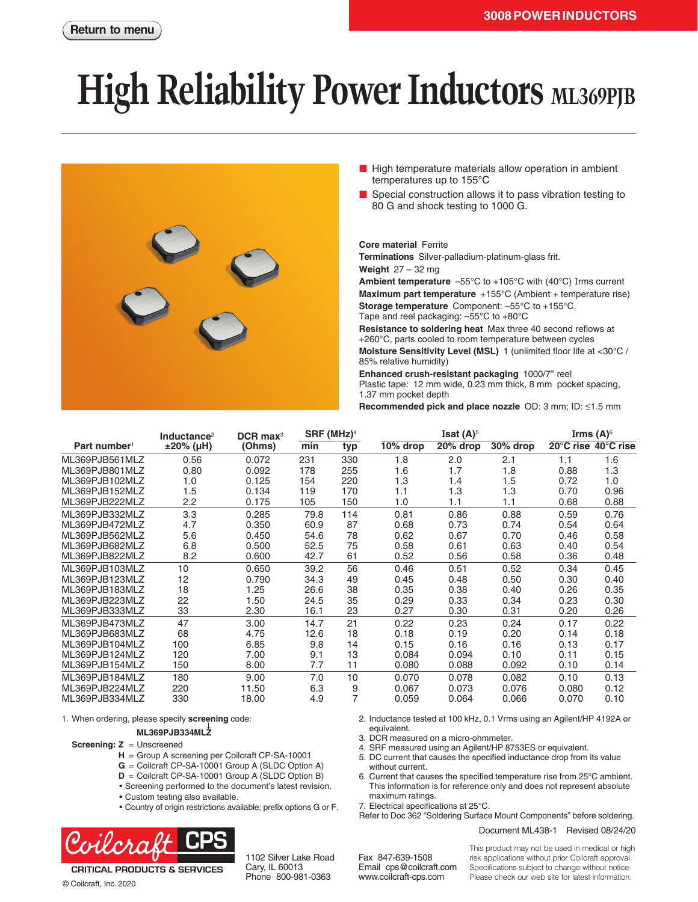# **High Reliability Power Inductors** ML369PJB



- High temperature materials allow operation in ambient temperatures up to 155°C
- Special construction allows it to pass vibration testing to 80 G and shock testing to 1000 G.

#### **Core material** Ferrite

**Terminations** Silver-palladium-platinum-glass frit.

**Weight** 27 – 32 mg

**Ambient temperature** –55°C to +105°C with (40°C) Irms current **Maximum part temperature** +155°C (Ambient + temperature rise) **Storage temperature** Component: –55°C to +155°C. Tape and reel packaging: –55°C to +80°C

**Resistance to soldering heat** Max three 40 second reflows at +260°C, parts cooled to room temperature between cycles **Moisture Sensitivity Level (MSL)** 1 (unlimited floor life at <30°C / 85% relative humidity)

**Enhanced crush-resistant packaging** 1000/7″ reel Plastic tape: 12 mm wide, 0.23 mm thick, 8 mm pocket spacing, 1.37 mm pocket depth

**Recommended pick and place nozzle** OD: 3 mm; ID: ≤1.5 mm

|                          | Inductance <sup>2</sup> | $DCR$ max <sup>3</sup> | SRF (MHz) <sup>4</sup> |     | Isat $(A)^5$ |          |          | Irms $(A)^6$ |                     |
|--------------------------|-------------------------|------------------------|------------------------|-----|--------------|----------|----------|--------------|---------------------|
| Part number <sup>1</sup> | ±20% (µH)               | (Ohms)                 | min                    | typ | 10% drop     | 20% drop | 30% drop |              | 20°C rise 40°C rise |
| ML369PJB561MLZ           | 0.56                    | 0.072                  | 231                    | 330 | 1.8          | 2.0      | 2.1      | 1.1          | 1.6                 |
| ML369PJB801MLZ           | 0.80                    | 0.092                  | 178                    | 255 | 1.6          | 1.7      | 1.8      | 0.88         | 1.3                 |
| ML369PJB102MLZ           | 1.0                     | 0.125                  | 154                    | 220 | 1.3          | 1.4      | 1.5      | 0.72         | 1.0                 |
| ML369PJB152MLZ           | 1.5                     | 0.134                  | 119                    | 170 | 1.1          | 1.3      | 1.3      | 0.70         | 0.96                |
| ML369PJB222MLZ           | 2.2                     | 0.175                  | 105                    | 150 | 1.0          | 1.1      | 1.1      | 0.68         | 0.88                |
| ML369PJB332MLZ           | 3.3                     | 0.285                  | 79.8                   | 114 | 0.81         | 0.86     | 0.88     | 0.59         | 0.76                |
| ML369PJB472MLZ           | 4.7                     | 0.350                  | 60.9                   | 87  | 0.68         | 0.73     | 0.74     | 0.54         | 0.64                |
| ML369PJB562MLZ           | 5.6                     | 0.450                  | 54.6                   | 78  | 0.62         | 0.67     | 0.70     | 0.46         | 0.58                |
| ML369PJB682MLZ           | 6.8                     | 0.500                  | 52.5                   | 75  | 0.58         | 0.61     | 0.63     | 0.40         | 0.54                |
| ML369PJB822MLZ           | 8.2                     | 0.600                  | 42.7                   | 61  | 0.52         | 0.56     | 0.58     | 0.36         | 0.48                |
| ML369PJB103MLZ           | 10                      | 0.650                  | 39.2                   | 56  | 0.46         | 0.51     | 0.52     | 0.34         | 0.45                |
| ML369PJB123MLZ           | 12                      | 0.790                  | 34.3                   | 49  | 0.45         | 0.48     | 0.50     | 0.30         | 0.40                |
| ML369PJB183MLZ           | 18                      | 1.25                   | 26.6                   | 38  | 0.35         | 0.38     | 0.40     | 0.26         | 0.35                |
| ML369PJB223MLZ           | 22                      | 1.50                   | 24.5                   | 35  | 0.29         | 0.33     | 0.34     | 0.23         | 0.30                |
| ML369PJB333MLZ           | 33                      | 2.30                   | 16.1                   | 23  | 0.27         | 0.30     | 0.31     | 0.20         | 0.26                |
| ML369PJB473MLZ           | 47                      | 3.00                   | 14.7                   | 21  | 0.22         | 0.23     | 0.24     | 0.17         | 0.22                |
| ML369PJB683MLZ           | 68                      | 4.75                   | 12.6                   | 18  | 0.18         | 0.19     | 0.20     | 0.14         | 0.18                |
| ML369PJB104MLZ           | 100                     | 6.85                   | 9.8                    | 14  | 0.15         | 0.16     | 0.16     | 0.13         | 0.17                |
| ML369PJB124MLZ           | 120                     | 7.00                   | 9.1                    | 13  | 0.084        | 0.094    | 0.10     | 0.11         | 0.15                |
| ML369PJB154MLZ           | 150                     | 8.00                   | 7.7                    | 11  | 0.080        | 0.088    | 0.092    | 0.10         | 0.14                |
| ML369PJB184MLZ           | 180                     | 9.00                   | 7.0                    | 10  | 0.070        | 0.078    | 0.082    | 0.10         | 0.13                |
| ML369PJB224MLZ           | 220                     | 11.50                  | 6.3                    | 9   | 0.067        | 0.073    | 0.076    | 0.080        | 0.12                |
| ML369PJB334MLZ           | 330                     | 18.00                  | 4.9                    | 7   | 0.059        | 0.064    | 0.066    | 0.070        | 0.10                |

1. When ordering, please specify **screening** code:

#### **ML369PJB334MLZ**

#### **Screening: Z** = Unscreened

- **H** = Group A screening per Coilcraft CP-SA-10001
- **G** = Coilcraft CP-SA-10001 Group A (SLDC Option A)
- **D** = Coilcraft CP-SA-10001 Group A (SLDC Option B)

• Screening performed to the document's latest revision.

• Custom testing also available.

• Country of origin restrictions available; prefix options G or F.



**CRITICAL PRODUCTS & SERVICES** 

1102 Silver Lake Road Cary, IL 60013 Phone 800-981-0363

2. Inductance tested at 100 kHz, 0.1 Vrms using an Agilent/HP 4192A or equivalent.

3. DCR measured on a micro-ohmmeter.

- 4. SRF measured using an Agilent/HP 8753ES or equivalent.
- 5. DC current that causes the specified inductance drop from its value without current.
- 6. Current that causes the specified temperature rise from 25°C ambient. This information is for reference only and does not represent absolute maximum ratings.
- 7. Electrical specifications at 25°C.

Refer to Doc 362 "Soldering Surface Mount Components" before soldering.

#### Document ML438-1 Revised 08/24/20

Fax 847-639-1508 Email cps@coilcraft.com www.coilcraft-cps.com

This product may not be used in medical or high risk applications without prior Coilcraft approval. Specifications subject to change without notice. Please check our web site for latest information.